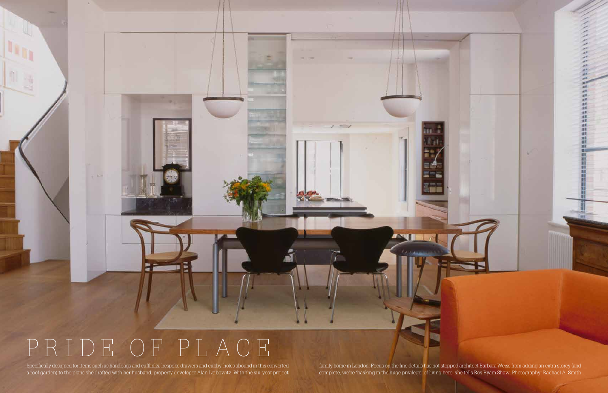## PRIDE OF PLACE

Specifically designed for items such as handbags and cufflinks, bespoke drawers and cubby-holes abound in this converted family home in London. Focus on the fine details has not stopped architect Barbara Weiss from adding a roof garden) to the plans she drafted with her husband, property developer Alan Leibowitz. With the six-year project complete, we're 'basking in the huge privilege' of living here, she tells Ros Byam Shaw. Photography: R

 $1 - 1$ 

쾗 at K

(対対対抗

註

湖

事 渊 重用

群群群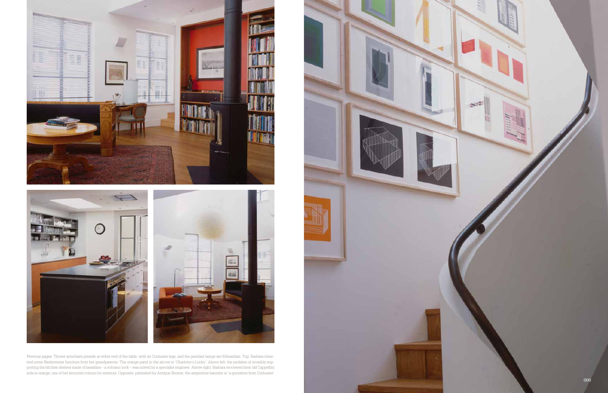





Previous pages: Thonet armchairs preside at either end of the table, with its Corbusier legs, and the pendant lamps are Edwardian. Top: Barbara inher ited some Biedermeier furniture from her grandparents. The orange paint in the alcove is 'Charlotte's Locks'. Above left: the problem of invisibly sup porting the kitchen shelves made of basaltina – a volcanic rock – was solved by a specialist engineer. Above right: Barbara recovered their old Cappellini sofa in orange, one of her favourite colours for interiors. Opposite: patinated by Antique Bronze, the serpentine banister is 'a quotation from Corbusier'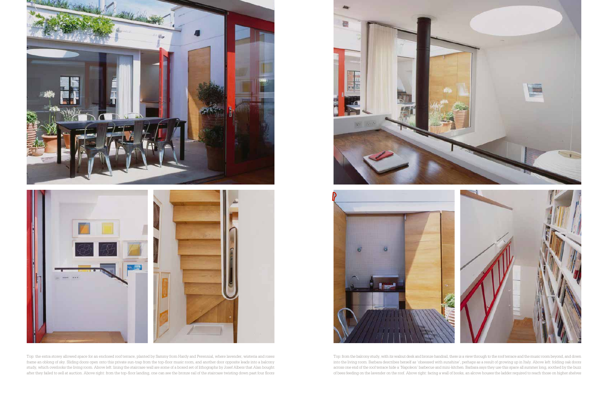

Top: the extra storey allowed space for an enclosed roof terrace, planted by Sammy from Hardy and Perennial, where lavender, wisteria and roses frame an oblong of sky. Sliding doors open onto this private sun-trap from the top-floor music room, and another door opposite leads into a balcony study, which overlooks the living room. Above left: lining the staircase wall are some of a boxed set of lithographs by Josef Albers that Alan bought after they failed to sell at auction. Above right: from the top-floor landing, one can see the bronze rail of the staircase twisting down past four floors





Top: from the balcony study, with its walnut desk and bronze handrail, there is a view through to the roof terrace and the music room beyond, and down into the living room. Barbara describes herself as 'obsessed with sunshine', perhaps as a result of growing up in Italy. Above left: folding oak doors across one end of the roof terrace hide a 'Napoleon' barbecue and mini-kitchen. Barbara says they use this space all summer long, soothed by the buzz of bees feeding on the lavender on the roof. Above right: facing a wall of books, an alcove houses the ladder required to reach those on higher shelves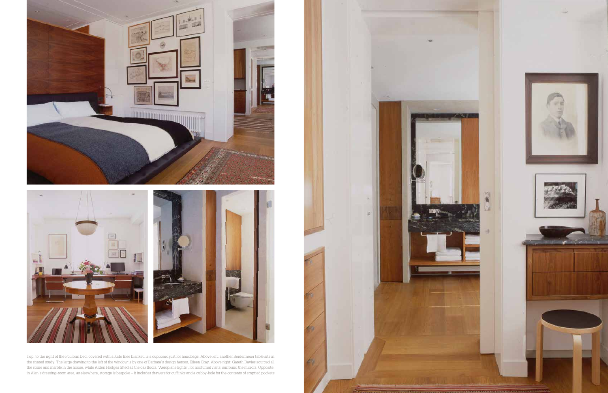



Top: to the right of the Poliform bed, covered with a Kate Blee blanket, is a cupboard just for handbags. Above left: another Beidermeier table sits in the shared study. The large drawing to the left of the window is by one of Barbara's design heroes, Eileen Gray. Above right: Gareth Davies sourced all the stone and marble in the house, while Arden Hodges fitted all the oak floors. 'Aeroplane lights', for nocturnal visits, surround the mirrors. Opposite: in Alan's dressing-room area, as elsewhere, storage is bespoke – it includes drawers for cufflinks and a cubby-hole for the contents of emptied pockets